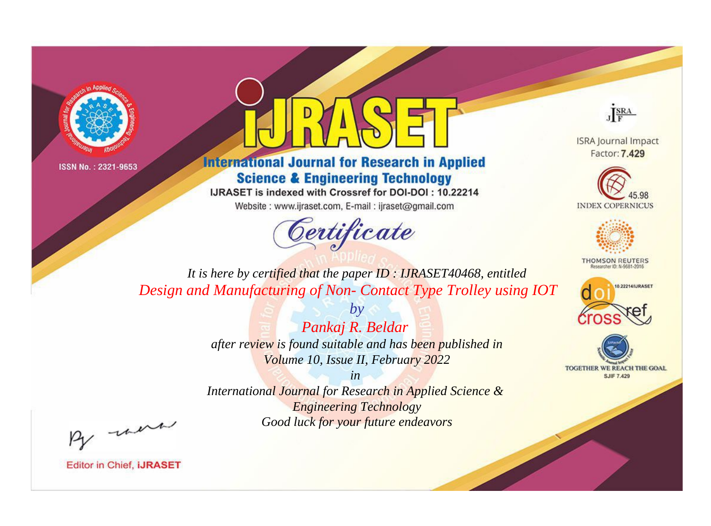



**International Journal for Research in Applied Science & Engineering Technology** 

IJRASET is indexed with Crossref for DOI-DOI: 10.22214

Website: www.ijraset.com, E-mail: ijraset@gmail.com



JERA

**ISRA Journal Impact** Factor: 7.429





**THOMSON REUTERS** 



TOGETHER WE REACH THE GOAL **SJIF 7.429** 

It is here by certified that the paper ID: IJRASET40468, entitled Design and Manufacturing of Non- Contact Type Trolley using IOT

> $b\nu$ Pankaj R. Beldar after review is found suitable and has been published in Volume 10, Issue II, February 2022

 $in$ International Journal for Research in Applied Science & **Engineering Technology** Good luck for your future endeavors

By morn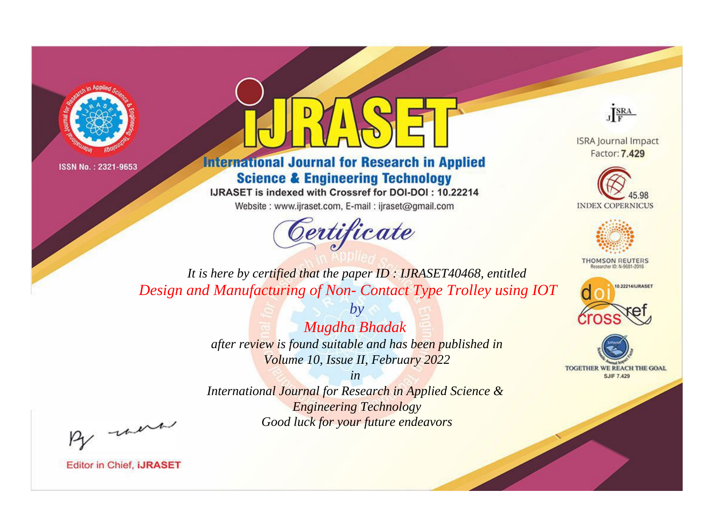



**International Journal for Research in Applied Science & Engineering Technology** 

IJRASET is indexed with Crossref for DOI-DOI: 10.22214

Website: www.ijraset.com, E-mail: ijraset@gmail.com



JERA

**ISRA Journal Impact** Factor: 7.429





**THOMSON REUTERS** 



TOGETHER WE REACH THE GOAL **SJIF 7.429** 

It is here by certified that the paper ID: IJRASET40468, entitled Design and Manufacturing of Non- Contact Type Trolley using IOT

> Mugdha Bhadak after review is found suitable and has been published in Volume 10, Issue II, February 2022

 $b\nu$ 

 $in$ International Journal for Research in Applied Science & **Engineering Technology** Good luck for your future endeavors

By morn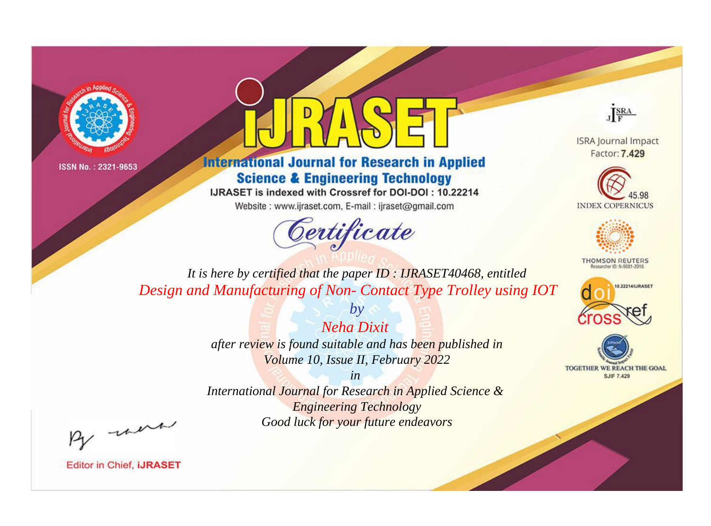



**International Journal for Research in Applied Science & Engineering Technology** 

IJRASET is indexed with Crossref for DOI-DOI: 10.22214

Website: www.ijraset.com, E-mail: ijraset@gmail.com



JERA

**ISRA Journal Impact** Factor: 7.429





**THOMSON REUTERS** 



TOGETHER WE REACH THE GOAL **SJIF 7.429** 

*It is here by certified that the paper ID : IJRASET40468, entitled Design and Manufacturing of Non- Contact Type Trolley using IOT*

> *Neha Dixit after review is found suitable and has been published in Volume 10, Issue II, February 2022*

*by*

*in* 

*International Journal for Research in Applied Science & Engineering Technology Good luck for your future endeavors*

By morn